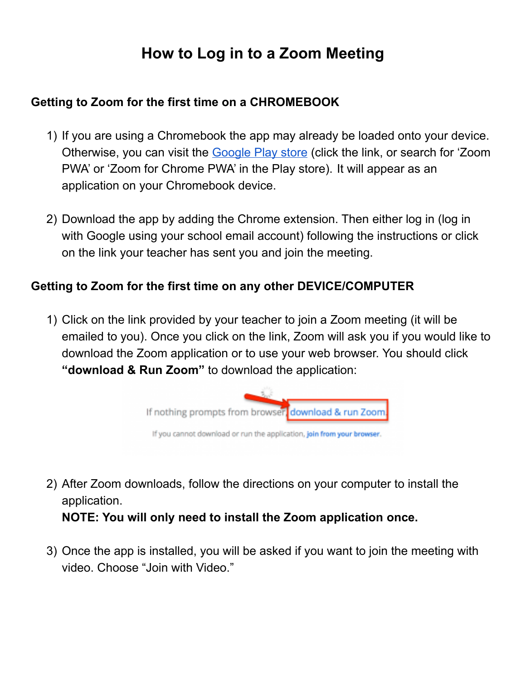# **How to Log in to a Zoom Meeting**

#### **Getting to Zoom for the first time on a CHROMEBOOK**

- 1) If you are using a Chromebook the app may already be loaded onto your device. Otherwise, you can visit the [Google](https://play.google.com/store/apps/details?id=us.zoom.pwa.twa) Play store (click the link, or search for 'Zoom PWA' or 'Zoom for Chrome PWA' in the Play store). It will appear as an application on your Chromebook device.
- 2) Download the app by adding the Chrome extension. Then either log in (log in with Google using your school email account) following the instructions or click on the link your teacher has sent you and join the meeting.

#### **Getting to Zoom for the first time on any other DEVICE/COMPUTER**

1) Click on the link provided by your teacher to join a Zoom meeting (it will be emailed to you). Once you click on the link, Zoom will ask you if you would like to download the Zoom application or to use your web browser. You should click **"download & Run Zoom"** to download the application:



- 2) After Zoom downloads, follow the directions on your computer to install the application. **NOTE: You will only need to install the Zoom application once.**
- 3) Once the app is installed, you will be asked if you want to join the meeting with video. Choose "Join with Video."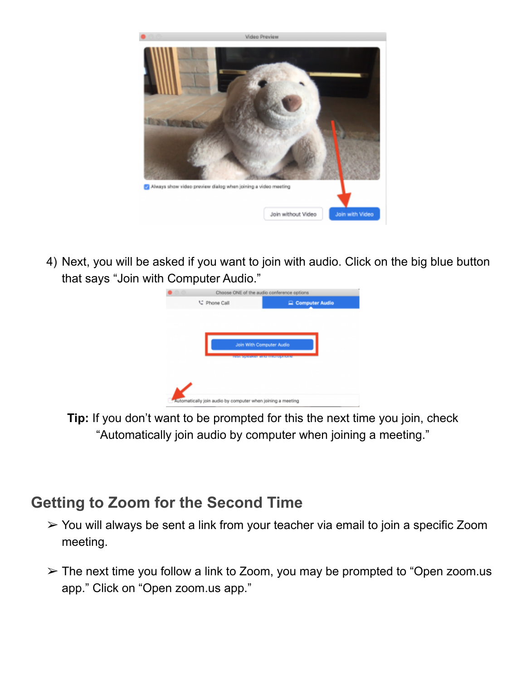

4) Next, you will be asked if you want to join with audio. Click on the big blue button that says "Join with Computer Audio."

| Choose ONE of the audio conference options |                |
|--------------------------------------------|----------------|
| ℃ Phone Call                               | Computer Audio |
|                                            |                |
|                                            |                |
|                                            |                |
| <b>Join With Computer Audio</b>            |                |
| 1001-21101AM DIAM HINDUSTANIA              |                |
|                                            |                |
|                                            |                |
|                                            |                |
|                                            |                |

**Tip:** If you don't want to be prompted for this the next time you join, check "Automatically join audio by computer when joining a meeting."

## **Getting to Zoom for the Second Time**

- ➢ You will always be sent a link from your teacher via email to join a specific Zoom meeting.
- $\geq$  The next time you follow a link to Zoom, you may be prompted to "Open zoom.us" app." Click on "Open zoom.us app."